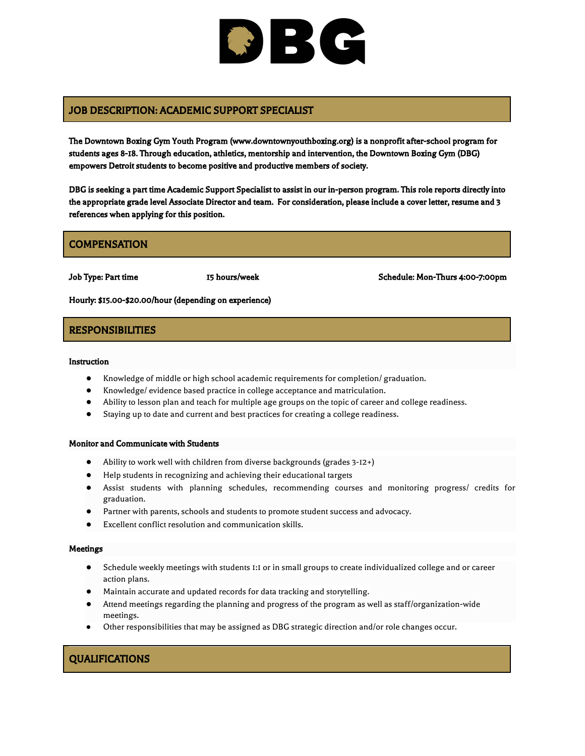# BC

## JOB DESCRIPTION: ACADEMIC SUPPORT SPECIALIST

The Downtown Boxing Gym Youth Program (www.downtownyouthboxing.org) is a nonprofit after-school program for students ages 8-18. Through education, athletics, mentorship and intervention, the Downtown Boxing Gym (DBG) empowers Detroit students to become positive and productive members of society.

DBG is seeking a part time Academic Support Specialist to assist in our in-person program. This role reports directly into the appropriate grade level Associate Director and team. For consideration, please include a cover letter, resume and 3 references when applying for this position.

## **COMPENSATION**

Job Type: Part time 15 hours/week Schedule: Mon-Thurs 4:00-7:00pm

Hourly: \$15.00-\$20.00/hour (depending on experience)

### RESPONSIBILITIES

Instruction

- Knowledge of middle or high school academic requirements for completion/ graduation.
- Knowledge/ evidence based practice in college acceptance and matriculation.
- Ability to lesson plan and teach for multiple age groups on the topic of career and college readiness.
- Staying up to date and current and best practices for creating a college readiness.

#### Monitor and Communicate with Students

- Ability to work well with children from diverse backgrounds (grades 3-12+)
- Help students in recognizing and achieving their [educational](https://www.qwikresume.com/resume-samples/student-teacher/) targets
- Assist students with planning schedules, recommending courses and monitoring progress/ credits for graduation.
- Partner with parents, schools and students to promote student success and advocacy.
- Excellent conflict resolution and communication skills.

#### Meetings

- Schedule weekly meetings with students 1:1 or in small groups to create individualized college and or career action plans.
- Maintain accurate and updated records for data tracking and storytelling.
- Attend meetings regarding the planning and progress of the program as well as staff/organization-wide meetings.
- Other responsibilities that may be assigned as DBG strategic direction and/or role changes occur.

# QUALIFICATIONS